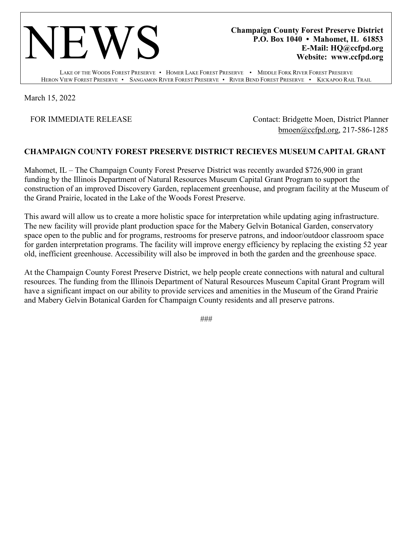

**Champaign County Forest Preserve District P.O. Box 1040 • Mahomet, IL 61853 E-Mail: HQ@ccfpd.org Website: www.ccfpd.org**

LAKE OF THE WOODS FOREST PRESERVE • HOMER LAKE FOREST PRESERVE • MIDDLE FORK RIVER FOREST PRESERVE HERON VIEW FOREST PRESERVE • SANGAMON RIVER FOREST PRESERVE • RIVER BEND FOREST PRESERVE • KICKAPOO RAIL TRAIL

March 15, 2022

FOR IMMEDIATE RELEASE Contact: Bridgette Moen, District Planner [bmoen@ccfpd.org,](mailto:bmoen@ccfpd.org) 217-586-1285

## **CHAMPAIGN COUNTY FOREST PRESERVE DISTRICT RECIEVES MUSEUM CAPITAL GRANT**

Mahomet, IL – The Champaign County Forest Preserve District was recently awarded \$726,900 in grant funding by the Illinois Department of Natural Resources Museum Capital Grant Program to support the construction of an improved Discovery Garden, replacement greenhouse, and program facility at the Museum of the Grand Prairie, located in the Lake of the Woods Forest Preserve.

This award will allow us to create a more holistic space for interpretation while updating aging infrastructure. The new facility will provide plant production space for the Mabery Gelvin Botanical Garden, conservatory space open to the public and for programs, restrooms for preserve patrons, and indoor/outdoor classroom space for garden interpretation programs. The facility will improve energy efficiency by replacing the existing 52 year old, inefficient greenhouse. Accessibility will also be improved in both the garden and the greenhouse space.

At the Champaign County Forest Preserve District, we help people create connections with natural and cultural resources. The funding from the Illinois Department of Natural Resources Museum Capital Grant Program will have a significant impact on our ability to provide services and amenities in the Museum of the Grand Prairie and Mabery Gelvin Botanical Garden for Champaign County residents and all preserve patrons.

###